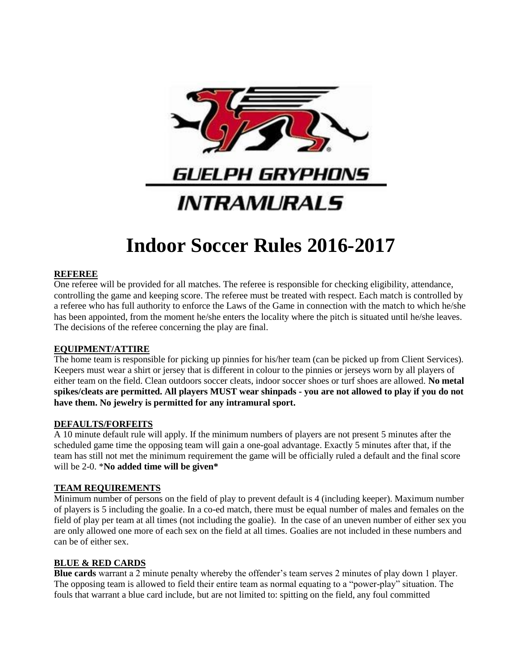

# **Indoor Soccer Rules 2016-2017**

# **REFEREE**

One referee will be provided for all matches. The referee is responsible for checking eligibility, attendance, controlling the game and keeping score. The referee must be treated with respect. Each match is controlled by a referee who has full authority to enforce the Laws of the Game in connection with the match to which he/she has been appointed, from the moment he/she enters the locality where the pitch is situated until he/she leaves. The decisions of the referee concerning the play are final.

## **EQUIPMENT/ATTIRE**

The home team is responsible for picking up pinnies for his/her team (can be picked up from Client Services). Keepers must wear a shirt or jersey that is different in colour to the pinnies or jerseys worn by all players of either team on the field. Clean outdoors soccer cleats, indoor soccer shoes or turf shoes are allowed. **No metal spikes/cleats are permitted. All players MUST wear shinpads - you are not allowed to play if you do not have them. No jewelry is permitted for any intramural sport.**

## **DEFAULTS/FORFEITS**

A 10 minute default rule will apply. If the minimum numbers of players are not present 5 minutes after the scheduled game time the opposing team will gain a one-goal advantage. Exactly 5 minutes after that, if the team has still not met the minimum requirement the game will be officially ruled a default and the final score will be 2-0. \***No added time will be given\***

## **TEAM REQUIREMENTS**

Minimum number of persons on the field of play to prevent default is 4 (including keeper). Maximum number of players is 5 including the goalie. In a co-ed match, there must be equal number of males and females on the field of play per team at all times (not including the goalie). In the case of an uneven number of either sex you are only allowed one more of each sex on the field at all times. Goalies are not included in these numbers and can be of either sex.

# **BLUE & RED CARDS**

**Blue cards** warrant a 2 minute penalty whereby the offender's team serves 2 minutes of play down 1 player. The opposing team is allowed to field their entire team as normal equating to a "power-play" situation. The fouls that warrant a blue card include, but are not limited to: spitting on the field, any foul committed